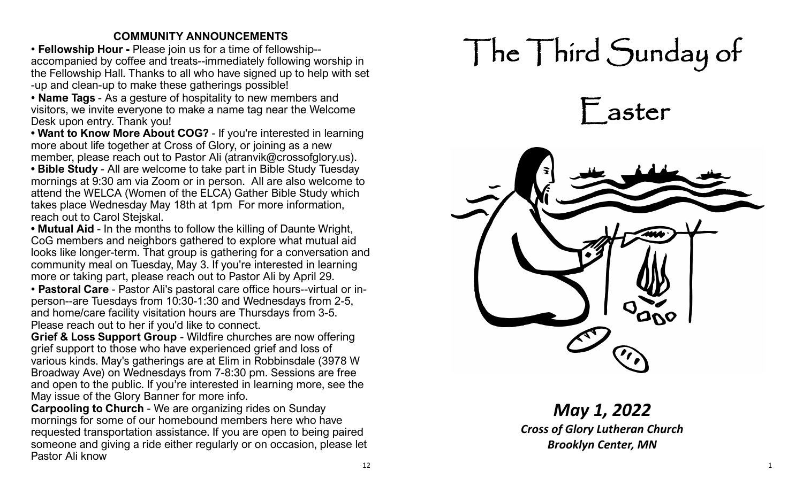# **COMMUNITY ANNOUNCEMENTS**

• **Fellowship Hour -** Please join us for a time of fellowship- accompanied by coffee and treats--immediately following worship in the Fellowship Hall. Thanks to all who have signed up to help with set -up and clean-up to make these gatherings possible!

• **Name Tags** - As a gesture of hospitality to new members and visitors, we invite everyone to make a name tag near the Welcome Desk upon entry. Thank you!

**• Want to Know More About COG?** - If you're interested in learning more about life together at Cross of Glory, or joining as a new member, please reach out to Pastor Ali (atranvik@crossofglory.us).

**• Bible Study** - All are welcome to take part in Bible Study Tuesday mornings at 9:30 am via Zoom or in person. All are also welcome to attend the WELCA (Women of the ELCA) Gather Bible Study which takes place Wednesday May 18th at 1pm For more information, reach out to Carol Stejskal.

**• Mutual Aid** - In the months to follow the killing of Daunte Wright, CoG members and neighbors gathered to explore what mutual aid looks like longer-term. That group is gathering for a conversation and community meal on Tuesday, May 3. If you're interested in learning more or taking part, please reach out to Pastor Ali by April 29.

• **Pastoral Care** - Pastor Ali's pastoral care office hours--virtual or inperson--are Tuesdays from 10:30-1:30 and Wednesdays from 2-5, and home/care facility visitation hours are Thursdays from 3-5. Please reach out to her if you'd like to connect.

**Grief & Loss Support Group** - Wildfire churches are now offering grief support to those who have experienced grief and loss of various kinds. May's gatherings are at Elim in Robbinsdale (3978 W Broadway Ave) on Wednesdays from 7-8:30 pm. Sessions are free and open to the public. If you're interested in learning more, see the May issue of the Glory Banner for more info.

**Carpooling to Church** - We are organizing rides on Sunday mornings for some of our homebound members here who have requested transportation assistance. If you are open to being paired someone and giving a ride either regularly or on occasion, please let Pastor Ali know



*May 1, 2022 Cross of Glory Lutheran Church Brooklyn Center, MN*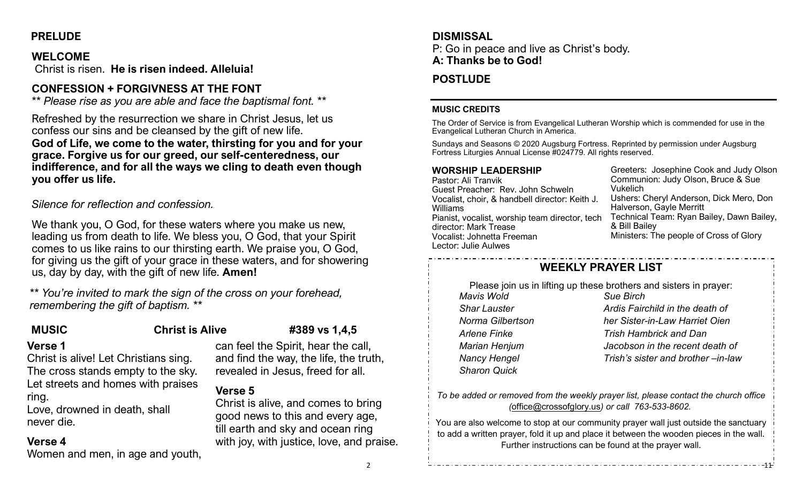# **PRELUDE**

#### **WELCOME**

Christ is risen. **He is risen indeed. Alleluia!**

## **CONFESSION + FORGIVNESS AT THE FONT**

*\*\* Please rise as you are able and face the baptismal font. \*\**

Refreshed by the resurrection we share in Christ Jesus, let us confess our sins and be cleansed by the gift of new life. **God of Life, we come to the water, thirsting for you and for your grace. Forgive us for our greed, our self-centeredness, our indifference, and for all the ways we cling to death even though you offer us life.**

#### *Silence for reflection and confession..*

We thank you, O God, for these waters where you make us new, leading us from death to life. We bless you, O God, that your Spirit comes to us like rains to our thirsting earth. We praise you, O God, for giving us the gift of your grace in these waters, and for showering us, day by day, with the gift of new life. **Amen!**

*\*\* You're invited to mark the sign of the cross on your forehead, remembering the gift of baptism. \*\**

## **MUSIC Christ is Alive #389 vs 1,4,5**

**Verse 5**

## **Verse 1**

Christ is alive! Let Christians sing. The cross stands empty to the sky. Let streets and homes with praises ring.

Love, drowned in death, shall never die.

#### **Verse 4**

Women and men, in age and youth,

## **DISMISSAL**

P: Go in peace and live as Christ's body.

**A: Thanks be to God!**

## **POSTLUDE**

#### **MUSIC CREDITS**

The Order of Service is from Evangelical Lutheran Worship which is commended for use in the Evangelical Lutheran Church in America.

Sundays and Seasons © 2020 Augsburg Fortress. Reprinted by permission under Augsburg Fortress Liturgies Annual License #024779. All rights reserved.

#### **WORSHIP LEADERSHIP**

Pastor: Ali Tranvik Guest Preacher: Rev. John Schweln Vocalist, choir, & handbell director: Keith J. Williams Pianist, vocalist, worship team director, tech director: Mark Trease Vocalist: Johnetta Freeman Lector: Julie Aulwes Greeters: Josephine Cook and Judy Olson Communion: Judy Olson, Bruce & Sue Vukelich Ushers: Cheryl Anderson, Dick Mero, Don Halverson, Gayle Merritt Technical Team: Ryan Bailey, Dawn Bailey, & Bill Bailey Ministers: The people of Cross of Glory

## **WEEKLY PRAYER LIST**

|                     | Please join us in lifting up these brothers and sisters in prayer: |
|---------------------|--------------------------------------------------------------------|
| <b>Mavis Wold</b>   | Sue Birch                                                          |
| <b>Shar Lauster</b> | Ardis Fairchild in the death of                                    |
| Norma Gilbertson    | her Sister-in-Law Harriet Oien                                     |
| <b>Arlene Finke</b> | <b>Trish Hambrick and Dan</b>                                      |
| Marian Henjum       | Jacobson in the recent death of                                    |
| <b>Nancy Hengel</b> | Trish's sister and brother -in-law                                 |
| <b>Sharon Quick</b> |                                                                    |

*To be added or removed from the weekly prayer list, please contact the church office (*[office@crossofglory.us](mailto:office@crossofglory.us)*) or call 763-533-8602.*

You are also welcome to stop at our community prayer wall just outside the sanctuary to add a written prayer, fold it up and place it between the wooden pieces in the wall. Further instructions can be found at the prayer wall.

11

 $\overline{\phantom{0}}$ 

can feel the Spirit, hear the call, and find the way, the life, the truth, revealed in Jesus, freed for all.

Christ is alive, and comes to bring good news to this and every age, till earth and sky and ocean ring

with joy, with justice, love, and praise.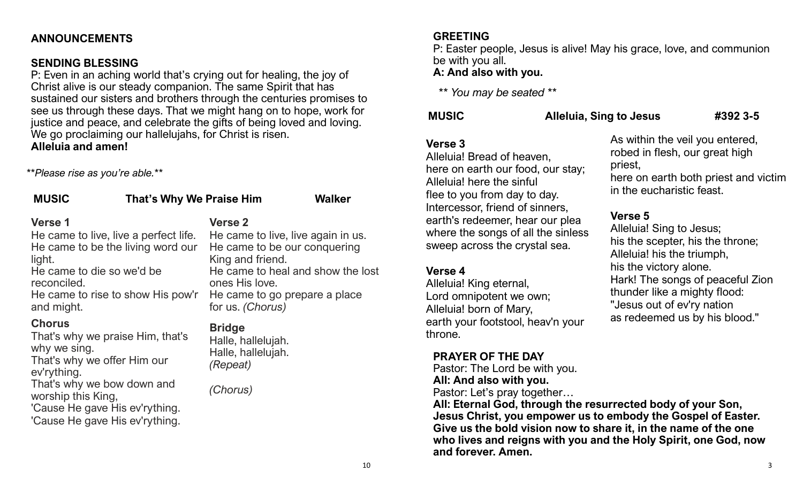#### **ANNOUNCEMENTS**

#### **SENDING BLESSING**

P: Even in an aching world that's crying out for healing, the joy of Christ alive is our steady companion. The same Spirit that has sustained our sisters and brothers through the centuries promises to see us through these days. That we might hang on to hope, work for justice and peace, and celebrate the gifts of being loved and loving. We go proclaiming our hallelujahs, for Christ is risen. **Alleluia and amen!**

*\*\*Please rise as you're able.\*\**

| <b>MUSIC</b>                                                                                                                                                                                                                            | That's Why We Praise Him | <b>Walker</b>                                                                                                                                                                                           |  |
|-----------------------------------------------------------------------------------------------------------------------------------------------------------------------------------------------------------------------------------------|--------------------------|---------------------------------------------------------------------------------------------------------------------------------------------------------------------------------------------------------|--|
| <b>Verse 1</b><br>He came to live, live a perfect life.<br>He came to be the living word our<br>light.<br>He came to die so we'd be<br>reconciled.<br>He came to rise to show His pow'r<br>and might.                                   |                          | <b>Verse 2</b><br>He came to live, live again in<br>He came to be our conquerir<br>King and friend.<br>He came to heal and show th<br>ones His love.<br>He came to go prepare a pla<br>for us. (Chorus) |  |
| <b>Chorus</b><br>That's why we praise Him, that's<br>why we sing.<br>That's why we offer Him our<br>ev'rything.<br>That's why we bow down and<br>worship this King,<br>'Cause He gave His ev'rything.<br>'Cause He gave His ev'rything. |                          | <b>Bridge</b><br>Halle, hallelujah.<br>Halle, hallelujah.<br>(Repeat)<br>(Chorus)                                                                                                                       |  |

 $\mathop{\mathsf{in}}$  in us. uering w the lost place

## **GREETING**

P: Easter people, Jesus is alive! May his grace, love, and communion be with you all.

#### **A: And also with you.**

*\*\* You may be seated \*\**

#### **MUSIC Alleluia, Sing to Jesus #392 3-5**

#### **Verse 3**

Alleluia! Bread of heaven, here on earth our food, our stay; Alleluia! here the sinful flee to you from day to day. Intercessor, friend of sinners, earth's redeemer, hear our plea where the songs of all the sinless sweep across the crystal sea.

#### **Verse 4**

Alleluia! King eternal, Lord omnipotent we own; Alleluia! born of Mary, earth your footstool, heav'n your throne.

#### **PRAYER OF THE DAY**

Pastor: The Lord be with you. **All: And also with you.** Pastor: Let's pray together…

**All: Eternal God, through the resurrected body of your Son, Jesus Christ, you empower us to embody the Gospel of Easter. Give us the bold vision now to share it, in the name of the one who lives and reigns with you and the Holy Spirit, one God, now and forever. Amen.**

#### robed in flesh, our great high priest, here on earth both priest and victim in the eucharistic feast.

As within the veil you entered,

#### **Verse 5**

Alleluia! Sing to Jesus; his the scepter, his the throne; Alleluia! his the triumph, his the victory alone. Hark! The songs of peaceful Zion thunder like a mighty flood: "Jesus out of ev'ry nation as redeemed us by his blood."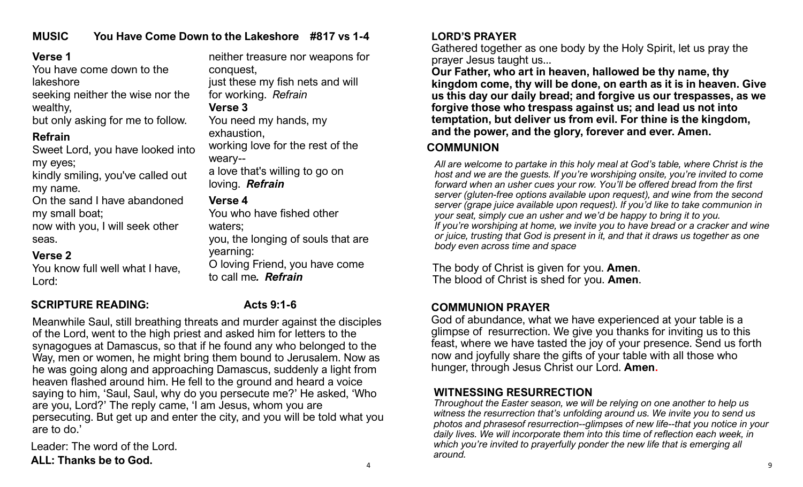# **MUSIC You Have Come Down to the Lakeshore #817 vs 1-4**

#### **Verse 1**

You have come down to the lakeshore

seeking neither the wise nor the wealthy,

but only asking for me to follow.

#### **Refrain**

Sweet Lord, you have looked into my eyes;

kindly smiling, you've called out my name.

On the sand I have abandoned my small boat;

now with you, I will seek other seas.

#### **Verse 2**

You know full well what I have, Lord:

## **SCRIPTURE READING:** Acts 9:1-6

neither treasure nor weapons for conquest, just these my fish nets and will

for working. *Refrain*

#### **Verse 3**

You need my hands, my exhaustion, working love for the rest of the weary- a love that's willing to go on loving. *Refrain*

#### **Verse 4**

| .                                  |  |  |  |  |
|------------------------------------|--|--|--|--|
| You who have fished other          |  |  |  |  |
| waters;                            |  |  |  |  |
| you, the longing of souls that are |  |  |  |  |
| yearning:                          |  |  |  |  |
| O loving Friend, you have come     |  |  |  |  |
| to call me. Refrain                |  |  |  |  |

Meanwhile Saul, still breathing threats and murder against the disciples of the Lord, went to the high priest and asked him for letters to the synagogues at Damascus, so that if he found any who belonged to the Way, men or women, he might bring them bound to Jerusalem. Now as he was going along and approaching Damascus, suddenly a light from heaven flashed around him. He fell to the ground and heard a voice saying to him, 'Saul, Saul, why do you persecute me?' He asked, 'Who are you, Lord?' The reply came, 'I am Jesus, whom you are persecuting. But get up and enter the city, and you will be told what you are to do.'

Leader: The word of the Lord.

God of abundance, what we have experienced at your table is a glimpse of resurrection. We give you thanks for inviting us to this feast, where we have tasted the joy of your presence. Send us forth now and joyfully share the gifts of your table with all those who hunger, through Jesus Christ our Lord. **Amen.** 

## **WITNESSING RESURRECTION**

The body of Christ is given for you. **Amen**. The blood of Christ is shed for you. **Amen**.

*body even across time and space*

**COMMUNION PRAYER** 

**LORD'S PRAYER**

**COMMUNION**

prayer Jesus taught us...

ALL: Thanks be to God. All and the second control of the second control of the second control of the second control of  $\frac{4}{3}$ *Throughout the Easter season, we will be relying on one another to help us witness the resurrection that's unfolding around us. We invite you to send us photos and phrasesof resurrection--glimpses of new life--that you notice in your daily lives. We will incorporate them into this time of reflection each week, in which you're invited to prayerfully ponder the new life that is emerging all around.*

Gathered together as one body by the Holy Spirit, let us pray the

**kingdom come, thy will be done, on earth as it is in heaven. Give us this day our daily bread; and forgive us our trespasses, as we** 

*All are welcome to partake in this holy meal at God's table, where Christ is the host and we are the guests. If you're worshiping onsite, you're invited to come forward when an usher cues your row. You'll be offered bread from the first server (gluten-free options available upon request), and wine from the second server (grape juice available upon request). If you'd like to take communion in* 

*If you're worshiping at home, we invite you to have bread or a cracker and wine or juice, trusting that God is present in it, and that it draws us together as one* 

**Our Father, who art in heaven, hallowed be thy name, thy** 

**forgive those who trespass against us; and lead us not into temptation, but deliver us from evil. For thine is the kingdom,** 

**and the power, and the glory, forever and ever. Amen.** 

*your seat, simply cue an usher and we'd be happy to bring it to you.*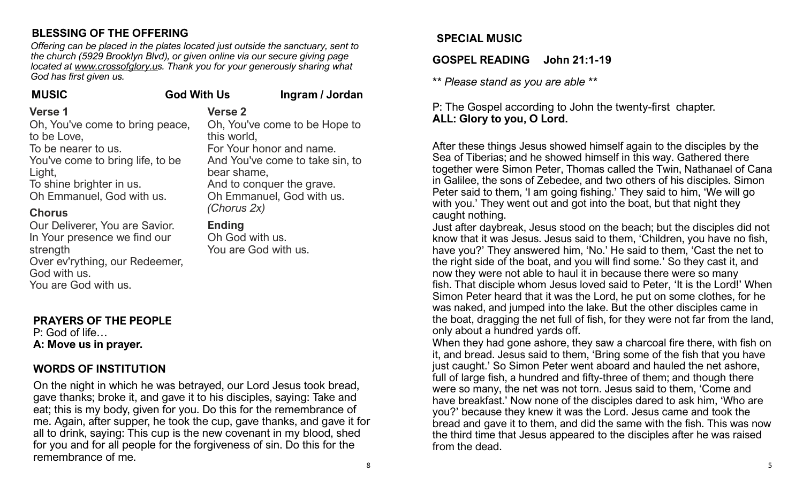# **BLESSING OF THE OFFERING**

*Offering can be placed in the plates located just outside the sanctuary, sent to the church (5929 Brooklyn Blvd), or given online via our secure giving page located at [www.crossofglory.us.](http://www.crossofglory.us) Thank you for your generously sharing what God has first given us.*

**Verse 2**

this world,

bear shame,

*(Chorus 2x)*

Oh God with us.

You are God with us.

**Ending**

**MUSIC God With Us Ingram / Jordan**

Oh, You've come to be Hope to

And You've come to take sin, to

For Your honor and name.

And to conquer the grave. Oh Emmanuel, God with us.

#### **Verse 1**

Oh, You've come to bring peace, to be Love, To be nearer to us. You've come to bring life, to be Light, To shine brighter in us. Oh Emmanuel, God with us.

#### **Chorus**

Our Deliverer, You are Savior. In Your presence we find our strength Over ev'rything, our Redeemer, God with us. You are God with us.

## **PRAYERS OF THE PEOPLE**

P: God of life… **A: Move us in prayer.**

# **WORDS OF INSTITUTION**

On the night in which he was betrayed, our Lord Jesus took bread, gave thanks; broke it, and gave it to his disciples, saying: Take and eat; this is my body, given for you. Do this for the remembrance of me. Again, after supper, he took the cup, gave thanks, and gave it for all to drink, saying: This cup is the new covenant in my blood, shed for you and for all people for the forgiveness of sin. Do this for the remembrance of me.

## **SPECIAL MUSIC**

## **GOSPEL READING John 21:1-19**

*\*\* Please stand as you are able \*\**

P: The Gospel according to John the twenty-first chapter. **ALL: Glory to you, O Lord.**

After these things Jesus showed himself again to the disciples by the Sea of Tiberias; and he showed himself in this way. Gathered there together were Simon Peter, Thomas called the Twin, Nathanael of Cana in Galilee, the sons of Zebedee, and two others of his disciples. Simon Peter said to them, 'I am going fishing.' They said to him, 'We will go with you.' They went out and got into the boat, but that night they caught nothing.

Just after daybreak, Jesus stood on the beach; but the disciples did not know that it was Jesus. Jesus said to them, 'Children, you have no fish, have you?' They answered him, 'No.' He said to them, 'Cast the net to the right side of the boat, and you will find some.' So they cast it, and now they were not able to haul it in because there were so many fish. That disciple whom Jesus loved said to Peter, 'It is the Lord!' When Simon Peter heard that it was the Lord, he put on some clothes, for he was naked, and jumped into the lake. But the other disciples came in the boat, dragging the net full of fish, for they were not far from the land, only about a hundred yards off.

When they had gone ashore, they saw a charcoal fire there, with fish on it, and bread. Jesus said to them, 'Bring some of the fish that you have just caught.' So Simon Peter went aboard and hauled the net ashore, full of large fish, a hundred and fifty-three of them; and though there were so many, the net was not torn. Jesus said to them, 'Come and have breakfast.' Now none of the disciples dared to ask him, 'Who are you?' because they knew it was the Lord. Jesus came and took the bread and gave it to them, and did the same with the fish. This was now the third time that Jesus appeared to the disciples after he was raised from the dead.